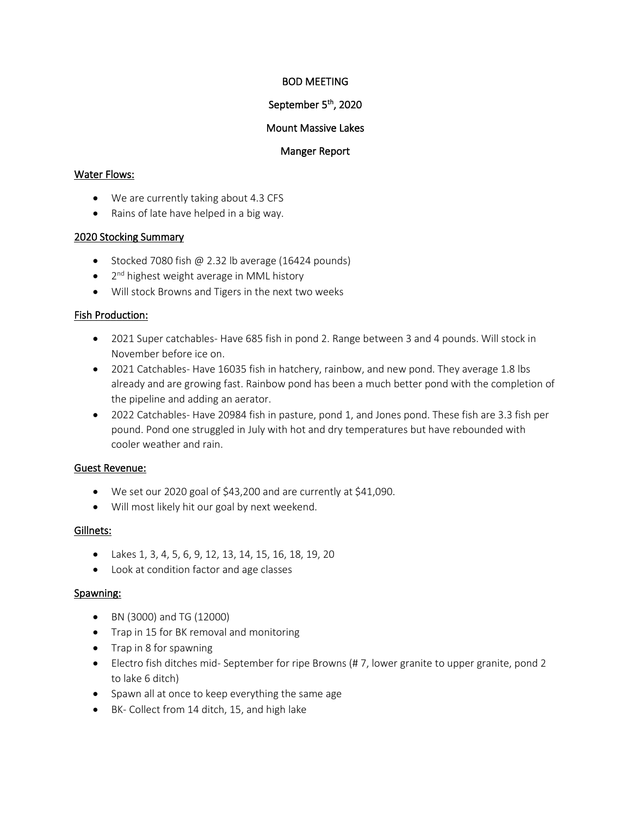## BOD MEETING

## September 5<sup>th</sup>, 2020

## Mount Massive Lakes

## Manger Report

## Water Flows:

- We are currently taking about 4.3 CFS
- Rains of late have helped in a big way.

#### 2020 Stocking Summary

- Stocked 7080 fish @ 2.32 lb average (16424 pounds)
- 2<sup>nd</sup> highest weight average in MML history
- Will stock Browns and Tigers in the next two weeks

## Fish Production:

- 2021 Super catchables- Have 685 fish in pond 2. Range between 3 and 4 pounds. Will stock in November before ice on.
- 2021 Catchables- Have 16035 fish in hatchery, rainbow, and new pond. They average 1.8 lbs already and are growing fast. Rainbow pond has been a much better pond with the completion of the pipeline and adding an aerator.
- 2022 Catchables- Have 20984 fish in pasture, pond 1, and Jones pond. These fish are 3.3 fish per pound. Pond one struggled in July with hot and dry temperatures but have rebounded with cooler weather and rain.

#### Guest Revenue:

- We set our 2020 goal of \$43,200 and are currently at \$41,090.
- Will most likely hit our goal by next weekend.

#### Gillnets:

- Lakes 1, 3, 4, 5, 6, 9, 12, 13, 14, 15, 16, 18, 19, 20
- Look at condition factor and age classes

#### Spawning:

- BN (3000) and TG (12000)
- Trap in 15 for BK removal and monitoring
- Trap in 8 for spawning
- Electro fish ditches mid- September for ripe Browns (# 7, lower granite to upper granite, pond 2 to lake 6 ditch)
- Spawn all at once to keep everything the same age
- BK- Collect from 14 ditch, 15, and high lake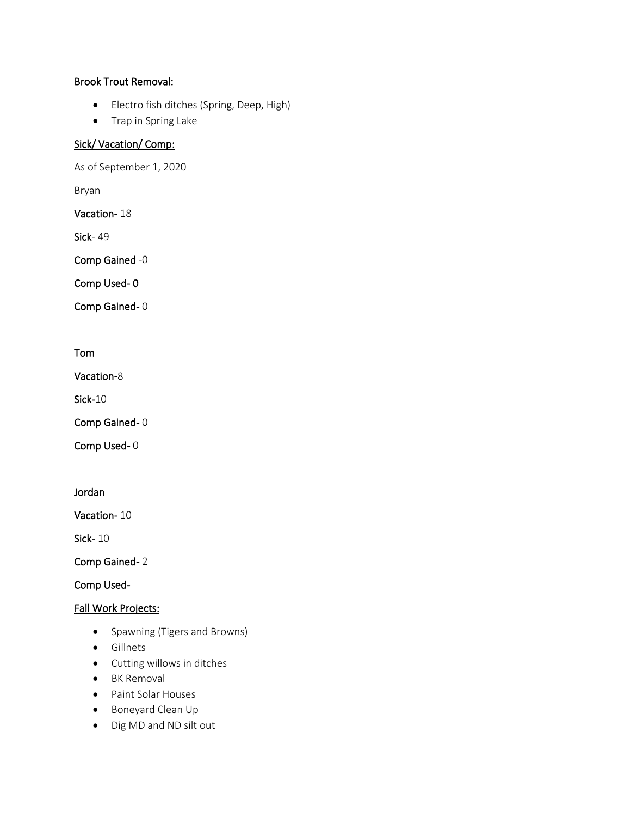## Brook Trout Removal:

- Electro fish ditches (Spring, Deep, High)
- Trap in Spring Lake

# Sick/ Vacation/ Comp:

As of September 1, 2020

Bryan

Vacation- 18

Sick- 49

Comp Gained -0

Comp Used- 0

Comp Gained- 0

Tom

Vacation-8

Sick-10

Comp Gained- 0

Comp Used- 0

Jordan

Vacation- 10

Sick- 10

Comp Gained- 2

Comp Used-

# Fall Work Projects:

- Spawning (Tigers and Browns)
- Gillnets
- Cutting willows in ditches
- BK Removal
- Paint Solar Houses
- Boneyard Clean Up
- Dig MD and ND silt out